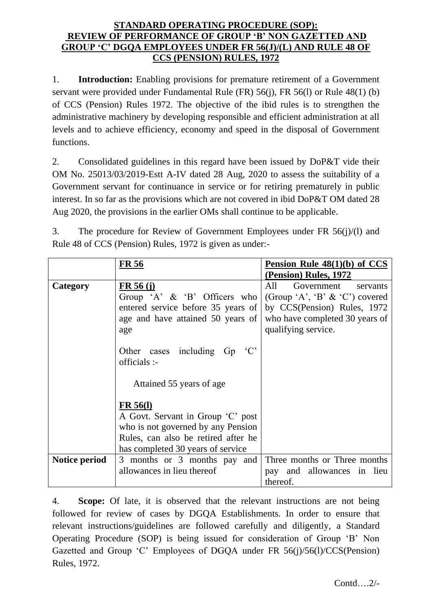## **STANDARD OPERATING PROCEDURE (SOP): REVIEW OF PERFORMANCE OF GROUP 'B' NON GAZETTED AND GROUP 'C' DGQA EMPLOYEES UNDER FR 56(J)/(L) AND RULE 48 OF CCS (PENSION) RULES, 1972**

1. **Introduction:** Enabling provisions for premature retirement of a Government servant were provided under Fundamental Rule (FR) 56(j), FR 56(l) or Rule 48(1) (b) of CCS (Pension) Rules 1972. The objective of the ibid rules is to strengthen the administrative machinery by developing responsible and efficient administration at all levels and to achieve efficiency, economy and speed in the disposal of Government functions.

2. Consolidated guidelines in this regard have been issued by DoP&T vide their OM No. 25013/03/2019-Estt A-IV dated 28 Aug, 2020 to assess the suitability of a Government servant for continuance in service or for retiring prematurely in public interest. In so far as the provisions which are not covered in ibid DoP&T OM dated 28 Aug 2020, the provisions in the earlier OMs shall continue to be applicable.

3. The procedure for Review of Government Employees under FR 56(j)/(l) and Rule 48 of CCS (Pension) Rules, 1972 is given as under:-

|               | <b>FR 56</b>                        | Pension Rule $48(1)(b)$ of CCS    |
|---------------|-------------------------------------|-----------------------------------|
|               |                                     | (Pension) Rules, 1972             |
| Category      | FR 56 (i)                           | All<br>Government<br>servants     |
|               | Group 'A' $\&$ 'B' Officers who     | (Group 'A', 'B' $\&$ 'C') covered |
|               | entered service before 35 years of  | by CCS(Pension) Rules, 1972       |
|               | age and have attained 50 years of   | who have completed 30 years of    |
|               | age                                 | qualifying service.               |
|               |                                     |                                   |
|               | Other cases including Gp<br>$\lq C$ |                                   |
|               | officials :-                        |                                   |
|               |                                     |                                   |
|               | Attained 55 years of age            |                                   |
|               |                                     |                                   |
|               | <b>FR 56(1)</b>                     |                                   |
|               | A Govt. Servant in Group 'C' post   |                                   |
|               | who is not governed by any Pension  |                                   |
|               | Rules, can also be retired after he |                                   |
|               | has completed 30 years of service   |                                   |
| Notice period | 3 months or 3 months pay and        | Three months or Three months      |
|               | allowances in lieu thereof          | pay and allowances in lieu        |
|               |                                     | thereof.                          |

4. **Scope:** Of late, it is observed that the relevant instructions are not being followed for review of cases by DGQA Establishments. In order to ensure that relevant instructions/guidelines are followed carefully and diligently, a Standard Operating Procedure (SOP) is being issued for consideration of Group 'B' Non Gazetted and Group 'C' Employees of DGQA under FR 56(j)/56(l)/CCS(Pension) Rules, 1972.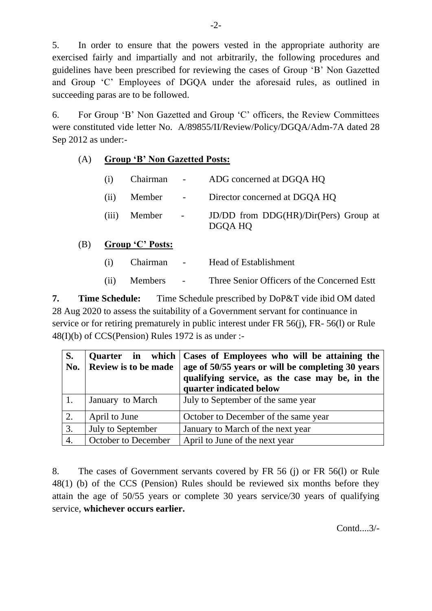5. In order to ensure that the powers vested in the appropriate authority are exercised fairly and impartially and not arbitrarily, the following procedures and guidelines have been prescribed for reviewing the cases of Group 'B' Non Gazetted and Group 'C' Employees of DGQA under the aforesaid rules, as outlined in succeeding paras are to be followed.

6. For Group 'B' Non Gazetted and Group 'C' officers, the Review Committees were constituted vide letter No. A/89855/II/Review/Policy/DGQA/Adm-7A dated 28 Sep 2012 as under:-

## (A) **Group 'B' Non Gazetted Posts:**

| (i) | Chairman -       | ADG concerned at DGQA HQ                         |
|-----|------------------|--------------------------------------------------|
|     |                  | (ii) Member - Director concerned at DGQA HQ      |
|     | $(iii)$ Member - | JD/DD from DDG(HR)/Dir(Pers) Group at<br>DGQA HQ |

## (B) **Group 'C' Posts:**

| (i) | Chairman     | <b>Contract Contract State</b> | Head of Establishment                      |
|-----|--------------|--------------------------------|--------------------------------------------|
|     | (ii) Members | <b>Contract Contract</b>       | Three Senior Officers of the Concerned Est |

**7. Time Schedule:** Time Schedule prescribed by DoP&T vide ibid OM dated 28 Aug 2020 to assess the suitability of a Government servant for continuance in service or for retiring prematurely in public interest under FR 56(j), FR- 56(l) or Rule 48(I)(b) of CCS(Pension) Rules 1972 is as under :-

| S.<br>No. | Quarter in which<br>Review is to be made | Cases of Employees who will be attaining the<br>age of 50/55 years or will be completing 30 years<br>qualifying service, as the case may be, in the<br>quarter indicated below |
|-----------|------------------------------------------|--------------------------------------------------------------------------------------------------------------------------------------------------------------------------------|
|           | January to March                         | July to September of the same year                                                                                                                                             |
| 2.        | April to June                            | October to December of the same year                                                                                                                                           |
| 3.        | July to September                        | January to March of the next year                                                                                                                                              |
| 4.        | October to December                      | April to June of the next year                                                                                                                                                 |

8. The cases of Government servants covered by FR 56 (j) or FR 56(l) or Rule 48(1) (b) of the CCS (Pension) Rules should be reviewed six months before they attain the age of 50/55 years or complete 30 years service/30 years of qualifying service, **whichever occurs earlier.**

Contd....3/-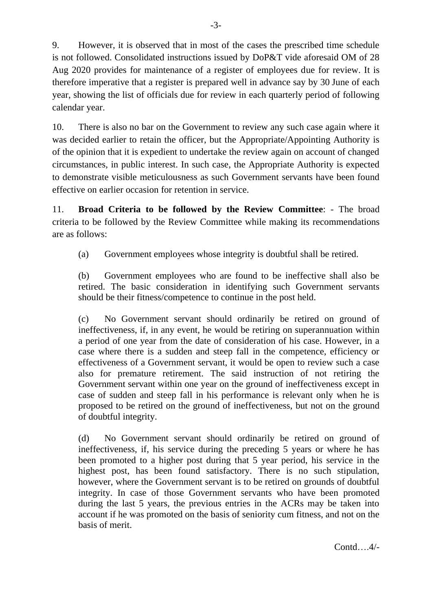9. However, it is observed that in most of the cases the prescribed time schedule is not followed. Consolidated instructions issued by DoP&T vide aforesaid OM of 28 Aug 2020 provides for maintenance of a register of employees due for review. It is therefore imperative that a register is prepared well in advance say by 30 June of each year, showing the list of officials due for review in each quarterly period of following calendar year.

10. There is also no bar on the Government to review any such case again where it was decided earlier to retain the officer, but the Appropriate/Appointing Authority is of the opinion that it is expedient to undertake the review again on account of changed circumstances, in public interest. In such case, the Appropriate Authority is expected to demonstrate visible meticulousness as such Government servants have been found effective on earlier occasion for retention in service.

11. **Broad Criteria to be followed by the Review Committee**: - The broad criteria to be followed by the Review Committee while making its recommendations are as follows:

(a) Government employees whose integrity is doubtful shall be retired.

(b) Government employees who are found to be ineffective shall also be retired. The basic consideration in identifying such Government servants should be their fitness/competence to continue in the post held.

(c) No Government servant should ordinarily be retired on ground of ineffectiveness, if, in any event, he would be retiring on superannuation within a period of one year from the date of consideration of his case. However, in a case where there is a sudden and steep fall in the competence, efficiency or effectiveness of a Government servant, it would be open to review such a case also for premature retirement. The said instruction of not retiring the Government servant within one year on the ground of ineffectiveness except in case of sudden and steep fall in his performance is relevant only when he is proposed to be retired on the ground of ineffectiveness, but not on the ground of doubtful integrity.

(d) No Government servant should ordinarily be retired on ground of ineffectiveness, if, his service during the preceding 5 years or where he has been promoted to a higher post during that 5 year period, his service in the highest post, has been found satisfactory. There is no such stipulation, however, where the Government servant is to be retired on grounds of doubtful integrity. In case of those Government servants who have been promoted during the last 5 years, the previous entries in the ACRs may be taken into account if he was promoted on the basis of seniority cum fitness, and not on the basis of merit.

Contd….4/-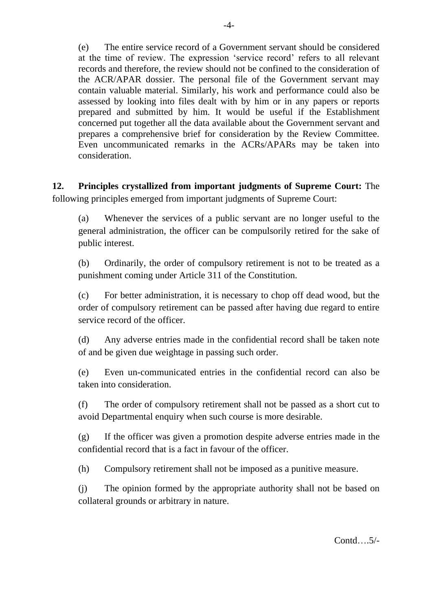(e) The entire service record of a Government servant should be considered at the time of review. The expression 'service record' refers to all relevant records and therefore, the review should not be confined to the consideration of the ACR/APAR dossier. The personal file of the Government servant may contain valuable material. Similarly, his work and performance could also be assessed by looking into files dealt with by him or in any papers or reports prepared and submitted by him. It would be useful if the Establishment concerned put together all the data available about the Government servant and prepares a comprehensive brief for consideration by the Review Committee. Even uncommunicated remarks in the ACRs/APARs may be taken into consideration.

**12. Principles crystallized from important judgments of Supreme Court:** The following principles emerged from important judgments of Supreme Court:

(a) Whenever the services of a public servant are no longer useful to the general administration, the officer can be compulsorily retired for the sake of public interest.

(b) Ordinarily, the order of compulsory retirement is not to be treated as a punishment coming under Article 311 of the Constitution.

(c) For better administration, it is necessary to chop off dead wood, but the order of compulsory retirement can be passed after having due regard to entire service record of the officer.

(d) Any adverse entries made in the confidential record shall be taken note of and be given due weightage in passing such order.

(e) Even un-communicated entries in the confidential record can also be taken into consideration.

(f) The order of compulsory retirement shall not be passed as a short cut to avoid Departmental enquiry when such course is more desirable.

(g) If the officer was given a promotion despite adverse entries made in the confidential record that is a fact in favour of the officer.

(h) Compulsory retirement shall not be imposed as a punitive measure.

(j) The opinion formed by the appropriate authority shall not be based on collateral grounds or arbitrary in nature.

Contd….5/-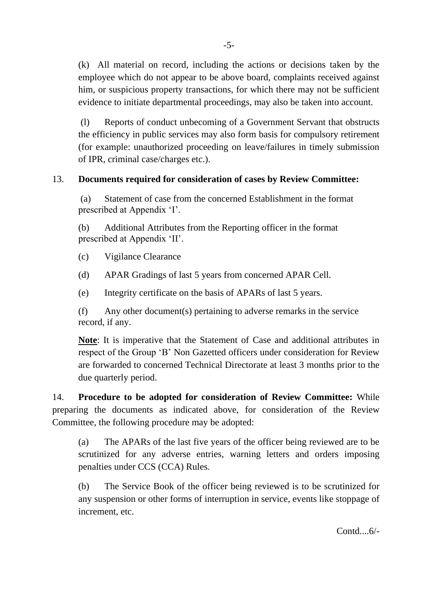(k) All material on record, including the actions or decisions taken by the employee which do not appear to be above board, complaints received against him, or suspicious property transactions, for which there may not be sufficient evidence to initiate departmental proceedings, may also be taken into account.

(l) Reports of conduct unbecoming of a Government Servant that obstructs the efficiency in public services may also form basis for compulsory retirement (for example: unauthorized proceeding on leave/failures in timely submission of IPR, criminal case/charges etc.).

## 13. **Documents required for consideration of cases by Review Committee:**

(a) Statement of case from the concerned Establishment in the format prescribed at Appendix 'I'.

(b) Additional Attributes from the Reporting officer in the format prescribed at Appendix 'II'.

- (c) Vigilance Clearance
- (d) APAR Gradings of last 5 years from concerned APAR Cell.
- (e) Integrity certificate on the basis of APARs of last 5 years.

(f) Any other document(s) pertaining to adverse remarks in the service record, if any.

**Note**: It is imperative that the Statement of Case and additional attributes in respect of the Group 'B' Non Gazetted officers under consideration for Review are forwarded to concerned Technical Directorate at least 3 months prior to the due quarterly period.

14. **Procedure to be adopted for consideration of Review Committee:** While preparing the documents as indicated above, for consideration of the Review Committee, the following procedure may be adopted:

(a) The APARs of the last five years of the officer being reviewed are to be scrutinized for any adverse entries, warning letters and orders imposing penalties under CCS (CCA) Rules.

(b) The Service Book of the officer being reviewed is to be scrutinized for any suspension or other forms of interruption in service, events like stoppage of increment, etc.

Contd....6/-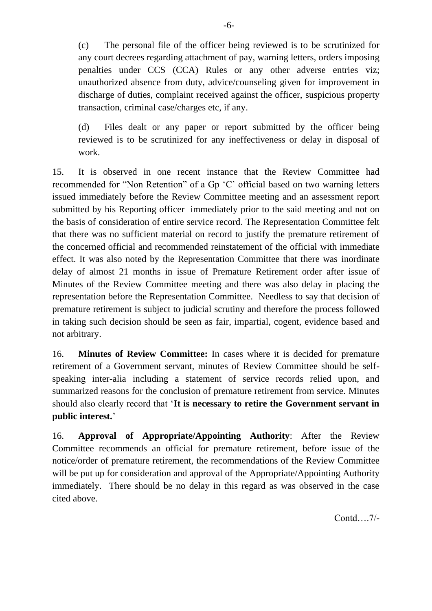(c) The personal file of the officer being reviewed is to be scrutinized for any court decrees regarding attachment of pay, warning letters, orders imposing penalties under CCS (CCA) Rules or any other adverse entries viz; unauthorized absence from duty, advice/counseling given for improvement in discharge of duties, complaint received against the officer, suspicious property transaction, criminal case/charges etc, if any.

(d) Files dealt or any paper or report submitted by the officer being reviewed is to be scrutinized for any ineffectiveness or delay in disposal of work.

15. It is observed in one recent instance that the Review Committee had recommended for "Non Retention" of a Gp 'C' official based on two warning letters issued immediately before the Review Committee meeting and an assessment report submitted by his Reporting officer immediately prior to the said meeting and not on the basis of consideration of entire service record. The Representation Committee felt that there was no sufficient material on record to justify the premature retirement of the concerned official and recommended reinstatement of the official with immediate effect. It was also noted by the Representation Committee that there was inordinate delay of almost 21 months in issue of Premature Retirement order after issue of Minutes of the Review Committee meeting and there was also delay in placing the representation before the Representation Committee. Needless to say that decision of premature retirement is subject to judicial scrutiny and therefore the process followed in taking such decision should be seen as fair, impartial, cogent, evidence based and not arbitrary.

16. **Minutes of Review Committee:** In cases where it is decided for premature retirement of a Government servant, minutes of Review Committee should be selfspeaking inter-alia including a statement of service records relied upon, and summarized reasons for the conclusion of premature retirement from service. Minutes should also clearly record that '**It is necessary to retire the Government servant in public interest.**'

16. **Approval of Appropriate/Appointing Authority**: After the Review Committee recommends an official for premature retirement, before issue of the notice/order of premature retirement, the recommendations of the Review Committee will be put up for consideration and approval of the Appropriate/Appointing Authority immediately. There should be no delay in this regard as was observed in the case cited above.

Contd….7/-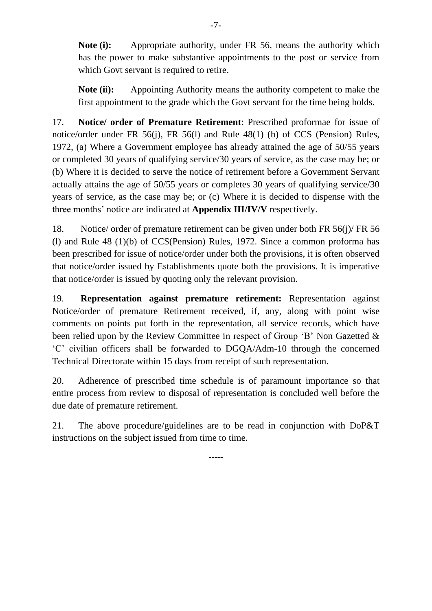**Note (i):** Appropriate authority, under FR 56, means the authority which has the power to make substantive appointments to the post or service from which Govt servant is required to retire.

**Note (ii):** Appointing Authority means the authority competent to make the first appointment to the grade which the Govt servant for the time being holds.

17. **Notice/ order of Premature Retirement**: Prescribed proformae for issue of notice/order under FR 56(j), FR 56(l) and Rule 48(1) (b) of CCS (Pension) Rules, 1972, (a) Where a Government employee has already attained the age of 50/55 years or completed 30 years of qualifying service/30 years of service, as the case may be; or (b) Where it is decided to serve the notice of retirement before a Government Servant actually attains the age of 50/55 years or completes 30 years of qualifying service/30 years of service, as the case may be; or (c) Where it is decided to dispense with the three months' notice are indicated at **Appendix III/IV/V** respectively.

18. Notice/ order of premature retirement can be given under both FR 56(j)/ FR 56 (l) and Rule 48 (1)(b) of CCS(Pension) Rules, 1972. Since a common proforma has been prescribed for issue of notice/order under both the provisions, it is often observed that notice/order issued by Establishments quote both the provisions. It is imperative that notice/order is issued by quoting only the relevant provision.

19. **Representation against premature retirement:** Representation against Notice/order of premature Retirement received, if, any, along with point wise comments on points put forth in the representation, all service records, which have been relied upon by the Review Committee in respect of Group 'B' Non Gazetted & 'C' civilian officers shall be forwarded to DGQA/Adm-10 through the concerned Technical Directorate within 15 days from receipt of such representation.

20. Adherence of prescribed time schedule is of paramount importance so that entire process from review to disposal of representation is concluded well before the due date of premature retirement.

21. The above procedure/guidelines are to be read in conjunction with DoP&T instructions on the subject issued from time to time.

**-----**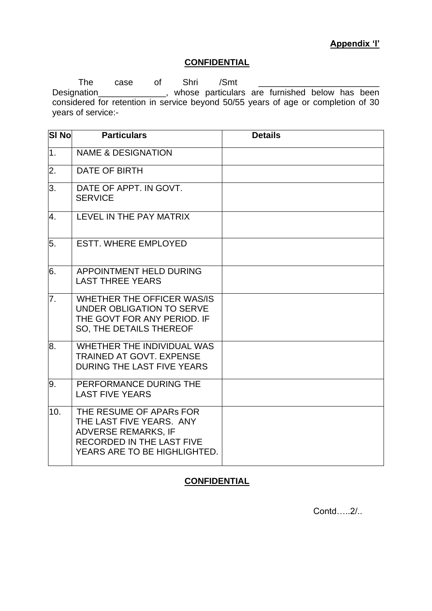## **Appendix 'I'**

# **CONFIDENTIAL**

The case of Shri /Smt \_\_\_\_\_\_\_\_\_\_\_\_\_\_\_\_\_\_\_\_\_\_\_\_\_ Designation\_\_\_\_\_\_\_\_\_\_\_\_\_\_\_, whose particulars are furnished below has been considered for retention in service beyond 50/55 years of age or completion of 30 years of service:-

| <b>SI No</b>     | <b>Particulars</b>                                                                                                                                    | <b>Details</b> |
|------------------|-------------------------------------------------------------------------------------------------------------------------------------------------------|----------------|
| 1 <sub>1</sub>   | <b>NAME &amp; DESIGNATION</b>                                                                                                                         |                |
| $\overline{2}$ . | <b>DATE OF BIRTH</b>                                                                                                                                  |                |
| 3.               | DATE OF APPT. IN GOVT.<br><b>SERVICE</b>                                                                                                              |                |
| 4.               | LEVEL IN THE PAY MATRIX                                                                                                                               |                |
| 5.               | <b>ESTT. WHERE EMPLOYED</b>                                                                                                                           |                |
| 6.               | APPOINTMENT HELD DURING<br><b>LAST THREE YEARS</b>                                                                                                    |                |
| $\overline{7}$ . | WHETHER THE OFFICER WAS/IS<br>UNDER OBLIGATION TO SERVE<br>THE GOVT FOR ANY PERIOD. IF<br>SO, THE DETAILS THEREOF                                     |                |
| 8.               | WHETHER THE INDIVIDUAL WAS<br><b>TRAINED AT GOVT. EXPENSE</b><br>DURING THE LAST FIVE YEARS                                                           |                |
| 9.               | PERFORMANCE DURING THE<br><b>LAST FIVE YEARS</b>                                                                                                      |                |
| 10.              | THE RESUME OF APARS FOR<br>THE LAST FIVE YEARS. ANY<br><b>ADVERSE REMARKS, IF</b><br><b>RECORDED IN THE LAST FIVE</b><br>YEARS ARE TO BE HIGHLIGHTED. |                |

# **CONFIDENTIAL**

Contd…..2/..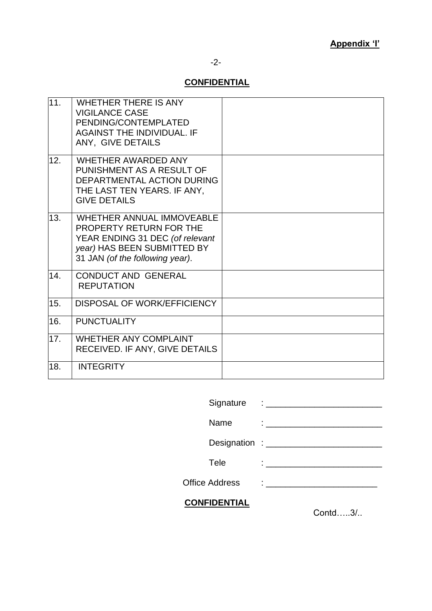## -2-

# **CONFIDENTIAL**

| 11. | <b>WHETHER THERE IS ANY</b><br><b>VIGILANCE CASE</b><br>PENDING/CONTEMPLATED<br><b>AGAINST THE INDIVIDUAL. IF</b><br>ANY, GIVE DETAILS                           |  |
|-----|------------------------------------------------------------------------------------------------------------------------------------------------------------------|--|
| 12. | <b>WHETHER AWARDED ANY</b><br>PUNISHMENT AS A RESULT OF<br>DEPARTMENTAL ACTION DURING<br>THE LAST TEN YEARS. IF ANY,<br><b>GIVE DETAILS</b>                      |  |
| 13. | <b>WHETHER ANNUAL IMMOVEABLE</b><br>PROPERTY RETURN FOR THE<br>YEAR ENDING 31 DEC (of relevant<br>year) HAS BEEN SUBMITTED BY<br>31 JAN (of the following year). |  |
| 14. | <b>CONDUCT AND GENERAL</b><br><b>REPUTATION</b>                                                                                                                  |  |
| 15. | DISPOSAL OF WORK/EFFICIENCY                                                                                                                                      |  |
| 16. | <b>PUNCTUALITY</b>                                                                                                                                               |  |
| 17. | <b>WHETHER ANY COMPLAINT</b><br>RECEIVED. IF ANY, GIVE DETAILS                                                                                                   |  |
| 18. | <b>INTEGRITY</b>                                                                                                                                                 |  |

| <b>CONFIDENTIAL</b>   |                                                                                                                                                                                                                                      | $\sim$ |
|-----------------------|--------------------------------------------------------------------------------------------------------------------------------------------------------------------------------------------------------------------------------------|--------|
| <b>Office Address</b> | $\mathbf{1}_{\{1,2,3,4,5\}}$ . The set of the set of the set of the set of the set of the set of the set of the set of the set of the set of the set of the set of the set of the set of the set of the set of the set of the set of |        |
| Tele                  | $\mathbf{1}_{\{1,2,3,4,5\}}$ . The contract of the contract of $\mathbf{1}_{\{1,2,3,4,5\}}$                                                                                                                                          |        |
|                       |                                                                                                                                                                                                                                      |        |
| Name                  |                                                                                                                                                                                                                                      |        |
|                       |                                                                                                                                                                                                                                      |        |
|                       |                                                                                                                                                                                                                                      |        |

Contd…..3/..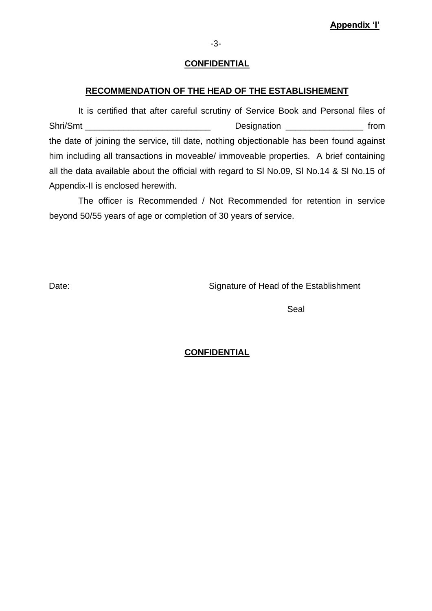### **CONFIDENTIAL**

### **RECOMMENDATION OF THE HEAD OF THE ESTABLISHEMENT**

It is certified that after careful scrutiny of Service Book and Personal files of Shri/Smt \_\_\_\_\_\_\_\_\_\_\_\_\_\_\_\_\_\_\_\_\_\_\_\_\_\_ Designation \_\_\_\_\_\_\_\_\_\_\_\_\_\_\_\_ from the date of joining the service, till date, nothing objectionable has been found against him including all transactions in moveable/ immoveable properties. A brief containing all the data available about the official with regard to Sl No.09, Sl No.14 & Sl No.15 of Appendix-II is enclosed herewith.

The officer is Recommended / Not Recommended for retention in service beyond 50/55 years of age or completion of 30 years of service.

Date: Date: Signature of Head of the Establishment

Seal

### **CONFIDENTIAL**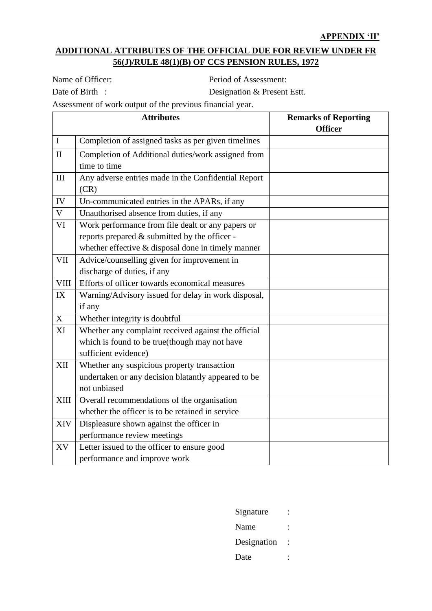# **ADDITIONAL ATTRIBUTES OF THE OFFICIAL DUE FOR REVIEW UNDER FR 56(J)/RULE 48(1)(B) OF CCS PENSION RULES, 1972**

Name of Officer: Period of Assessment:

Date of Birth : Designation & Present Estt.

Assessment of work output of the previous financial year.

|             | <b>Attributes</b>                                   | <b>Remarks of Reporting</b><br><b>Officer</b> |
|-------------|-----------------------------------------------------|-----------------------------------------------|
| $\mathbf I$ | Completion of assigned tasks as per given timelines |                                               |
| $\rm II$    | Completion of Additional duties/work assigned from  |                                               |
|             | time to time                                        |                                               |
| III         | Any adverse entries made in the Confidential Report |                                               |
|             | (CR)                                                |                                               |
| IV          | Un-communicated entries in the APARs, if any        |                                               |
| $\mathbf V$ | Unauthorised absence from duties, if any            |                                               |
| VI          | Work performance from file dealt or any papers or   |                                               |
|             | reports prepared & submitted by the officer -       |                                               |
|             | whether effective & disposal done in timely manner  |                                               |
| <b>VII</b>  | Advice/counselling given for improvement in         |                                               |
|             | discharge of duties, if any                         |                                               |
| <b>VIII</b> | Efforts of officer towards economical measures      |                                               |
| IX          | Warning/Advisory issued for delay in work disposal, |                                               |
|             | if any                                              |                                               |
| X           | Whether integrity is doubtful                       |                                               |
| XI          | Whether any complaint received against the official |                                               |
|             | which is found to be true(though may not have       |                                               |
|             | sufficient evidence)                                |                                               |
| XII         | Whether any suspicious property transaction         |                                               |
|             | undertaken or any decision blatantly appeared to be |                                               |
|             | not unbiased                                        |                                               |
| <b>XIII</b> | Overall recommendations of the organisation         |                                               |
|             | whether the officer is to be retained in service    |                                               |
| <b>XIV</b>  | Displeasure shown against the officer in            |                                               |
|             | performance review meetings                         |                                               |
| XV          | Letter issued to the officer to ensure good         |                                               |
|             | performance and improve work                        |                                               |

Signature : Name : Designation : Date :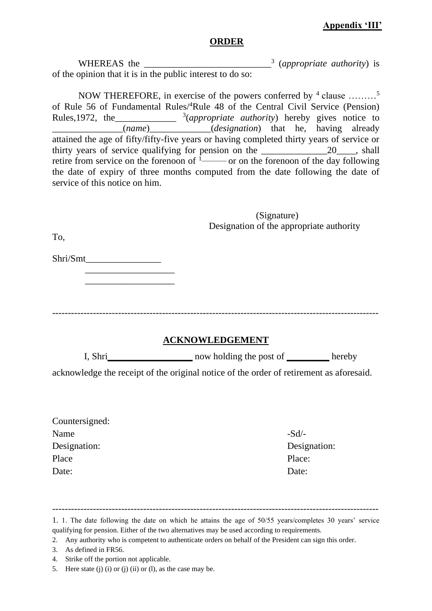## **Appendix 'III'**

#### **ORDER**

WHEREAS the (*appropriate authority*) is of the opinion that it is in the public interest to do so:

NOW THEREFORE, in exercise of the powers conferred by  $4$  clause .........<sup>5</sup> of Rule 56 of Fundamental Rules/<sup>4</sup>Rule 48 of the Central Civil Service (Pension) Rules,1972, the\_\_\_\_\_\_\_\_\_\_\_\_\_ <sup>3</sup> (*appropriate authority*) hereby gives notice to \_\_\_\_\_\_\_\_\_\_\_\_\_\_\_(*name*)\_\_\_\_\_\_\_\_\_\_\_\_\_(*designation*) that he, having already attained the age of fifty/fifty-five years or having completed thirty years of service or thirty years of service qualifying for pension on the \_\_\_\_\_\_\_\_\_\_\_\_\_\_20\_\_\_\_, shall retire from service on the forenoon of  $\frac{1}{1}$  or on the forenoon of the day following the date of expiry of three months computed from the date following the date of service of this notice on him.

|                | (Signature)                                                                             |              |
|----------------|-----------------------------------------------------------------------------------------|--------------|
| To,            | Designation of the appropriate authority                                                |              |
|                |                                                                                         |              |
|                |                                                                                         |              |
|                |                                                                                         |              |
|                |                                                                                         |              |
|                | <b>ACKNOWLEDGEMENT</b>                                                                  |              |
|                | I, Shri now holding the post of hereby                                                  |              |
|                | acknowledge the receipt of the original notice of the order of retirement as aforesaid. |              |
|                |                                                                                         |              |
| Countersigned: |                                                                                         |              |
| Name           | $-Sd/$ -                                                                                |              |
| Designation:   |                                                                                         | Designation: |
| Place          | Place:                                                                                  |              |
| Date:          | Date:                                                                                   |              |
|                |                                                                                         |              |

- 4. Strike off the portion not applicable.
- 5. Here state (j) (i) or (j) (ii) or (l), as the case may be.

<sup>1.</sup> 1. The date following the date on which he attains the age of 50/55 years/completes 30 years' service qualifying for pension. Either of the two alternatives may be used according to requirements.

<sup>2.</sup> Any authority who is competent to authenticate orders on behalf of the President can sign this order.

<sup>3.</sup> As defined in FR56.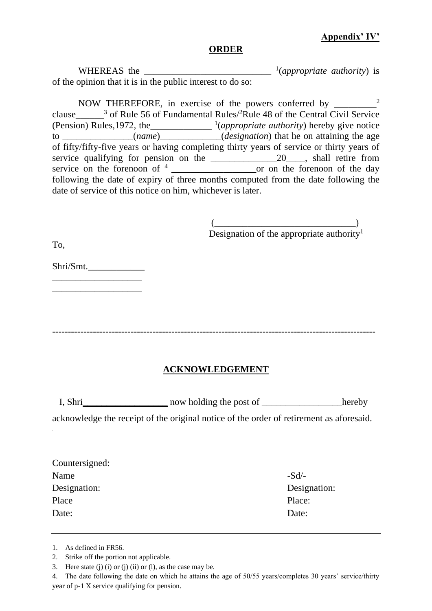## **Appendix' IV'**

### **ORDER**

WHEREAS the  $\frac{1}{(appropriate \; authority)}$  is of the opinion that it is in the public interest to do so:

NOW THEREFORE, in exercise of the powers conferred by \_\_\_\_\_\_\_\_\_<sup>2</sup> clause  $\frac{3}{3}$  of Rule 56 of Fundamental Rules/<sup>2</sup>Rule 48 of the Central Civil Service (Pension) Rules,1972, the\_\_\_\_\_\_\_\_\_\_\_\_\_ <sup>1</sup> (*appropriate authority*) hereby give notice to \_\_\_\_\_\_\_\_\_\_\_\_\_\_\_(*name*)\_\_\_\_\_\_\_\_\_\_\_\_\_(*designation*) that he on attaining the age of fifty/fifty-five years or having completing thirty years of service or thirty years of service qualifying for pension on the \_\_\_\_\_\_\_\_\_\_\_\_\_\_20\_\_\_\_, shall retire from service on the forenoon of  $4 \_$  or on the forenoon of the day following the date of expiry of three months computed from the date following the date of service of this notice on him, whichever is later.

> $\overbrace{\hspace{27mm}}^{(2)}$ Designation of the appropriate authority<sup>1</sup>

To,

Shri/Smt.\_\_\_\_\_\_\_\_\_\_\_\_ \_\_\_\_\_\_\_\_\_\_\_\_\_\_\_\_\_\_\_

\_\_\_\_\_\_\_\_\_\_\_\_\_\_\_\_\_\_\_

-------------------------------------------------------------------------------------------------------

### **ACKNOWLEDGEMENT**

**I**, Shri now holding the post of hereby

acknowledge the receipt of the original notice of the order of retirement as aforesaid.

| $-Sd$        |
|--------------|
| Designation: |
| Place:       |
| Date:        |
|              |

<sup>1.</sup> As defined in FR56.

<sup>2.</sup> Strike off the portion not applicable.

<sup>3.</sup> Here state (j) (i) or (j) (ii) or (l), as the case may be.

<sup>4.</sup> The date following the date on which he attains the age of 50/55 years/completes 30 years' service/thirty year of p-1 X service qualifying for pension.